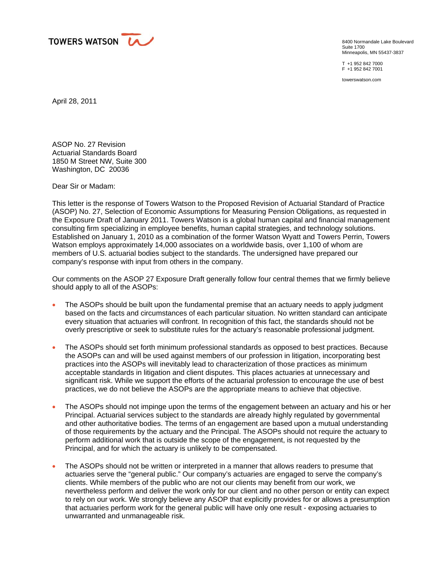

8400 Normandale Lake Boulevard Suite 1700 Minneapolis, MN 55437-3837

T +1 952 842 7000 F +1 952 842 7001

towerswatson.com

April 28, 2011

ASOP No. 27 Revision Actuarial Standards Board 1850 M Street NW, Suite 300 Washington, DC 20036

Dear Sir or Madam:

This letter is the response of Towers Watson to the Proposed Revision of Actuarial Standard of Practice (ASOP) No. 27, Selection of Economic Assumptions for Measuring Pension Obligations, as requested in the Exposure Draft of January 2011. Towers Watson is a global human capital and financial management consulting firm specializing in employee benefits, human capital strategies, and technology solutions. Established on January 1, 2010 as a combination of the former Watson Wyatt and Towers Perrin, Towers Watson employs approximately 14,000 associates on a worldwide basis, over 1,100 of whom are members of U.S. actuarial bodies subject to the standards. The undersigned have prepared our company's response with input from others in the company.

Our comments on the ASOP 27 Exposure Draft generally follow four central themes that we firmly believe should apply to all of the ASOPs:

- The ASOPs should be built upon the fundamental premise that an actuary needs to apply judgment based on the facts and circumstances of each particular situation. No written standard can anticipate every situation that actuaries will confront. In recognition of this fact, the standards should not be overly prescriptive or seek to substitute rules for the actuary's reasonable professional judgment.
- The ASOPs should set forth minimum professional standards as opposed to best practices. Because the ASOPs can and will be used against members of our profession in litigation, incorporating best practices into the ASOPs will inevitably lead to characterization of those practices as minimum acceptable standards in litigation and client disputes. This places actuaries at unnecessary and significant risk. While we support the efforts of the actuarial profession to encourage the use of best practices, we do not believe the ASOPs are the appropriate means to achieve that objective.
- The ASOPs should not impinge upon the terms of the engagement between an actuary and his or her Principal. Actuarial services subject to the standards are already highly regulated by governmental and other authoritative bodies. The terms of an engagement are based upon a mutual understanding of those requirements by the actuary and the Principal. The ASOPs should not require the actuary to perform additional work that is outside the scope of the engagement, is not requested by the Principal, and for which the actuary is unlikely to be compensated.
- The ASOPs should not be written or interpreted in a manner that allows readers to presume that actuaries serve the "general public." Our company's actuaries are engaged to serve the company's clients. While members of the public who are not our clients may benefit from our work, we nevertheless perform and deliver the work only for our client and no other person or entity can expect to rely on our work. We strongly believe any ASOP that explicitly provides for or allows a presumption that actuaries perform work for the general public will have only one result - exposing actuaries to unwarranted and unmanageable risk.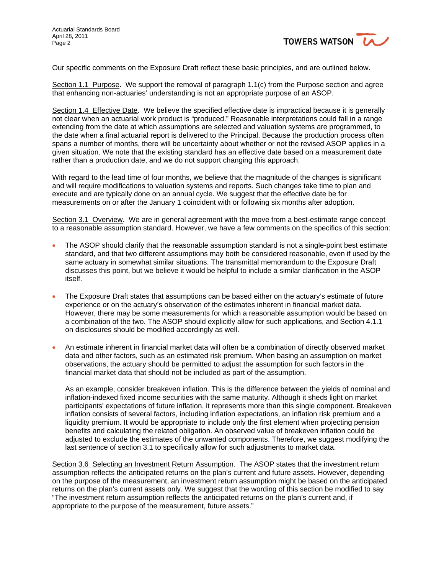

Our specific comments on the Exposure Draft reflect these basic principles, and are outlined below.

Section 1.1 Purpose. We support the removal of paragraph 1.1(c) from the Purpose section and agree that enhancing non-actuaries' understanding is not an appropriate purpose of an ASOP.

Section 1.4 Effective Date. We believe the specified effective date is impractical because it is generally not clear when an actuarial work product is "produced." Reasonable interpretations could fall in a range extending from the date at which assumptions are selected and valuation systems are programmed, to the date when a final actuarial report is delivered to the Principal. Because the production process often spans a number of months, there will be uncertainty about whether or not the revised ASOP applies in a given situation. We note that the existing standard has an effective date based on a measurement date rather than a production date, and we do not support changing this approach.

With regard to the lead time of four months, we believe that the magnitude of the changes is significant and will require modifications to valuation systems and reports. Such changes take time to plan and execute and are typically done on an annual cycle. We suggest that the effective date be for measurements on or after the January 1 coincident with or following six months after adoption.

Section 3.1 Overview. We are in general agreement with the move from a best-estimate range concept to a reasonable assumption standard. However, we have a few comments on the specifics of this section:

- The ASOP should clarify that the reasonable assumption standard is not a single-point best estimate standard, and that two different assumptions may both be considered reasonable, even if used by the same actuary in somewhat similar situations. The transmittal memorandum to the Exposure Draft discusses this point, but we believe it would be helpful to include a similar clarification in the ASOP itself.
- The Exposure Draft states that assumptions can be based either on the actuary's estimate of future experience or on the actuary's observation of the estimates inherent in financial market data. However, there may be some measurements for which a reasonable assumption would be based on a combination of the two. The ASOP should explicitly allow for such applications, and Section 4.1.1 on disclosures should be modified accordingly as well.
- An estimate inherent in financial market data will often be a combination of directly observed market data and other factors, such as an estimated risk premium. When basing an assumption on market observations, the actuary should be permitted to adjust the assumption for such factors in the financial market data that should not be included as part of the assumption.

As an example, consider breakeven inflation. This is the difference between the yields of nominal and inflation-indexed fixed income securities with the same maturity. Although it sheds light on market participants' expectations of future inflation, it represents more than this single component. Breakeven inflation consists of several factors, including inflation expectations, an inflation risk premium and a liquidity premium. It would be appropriate to include only the first element when projecting pension benefits and calculating the related obligation. An observed value of breakeven inflation could be adjusted to exclude the estimates of the unwanted components. Therefore, we suggest modifying the last sentence of section 3.1 to specifically allow for such adjustments to market data.

Section 3.6 Selecting an Investment Return Assumption. The ASOP states that the investment return assumption reflects the anticipated returns on the plan's current and future assets. However, depending on the purpose of the measurement, an investment return assumption might be based on the anticipated returns on the plan's current assets only. We suggest that the wording of this section be modified to say "The investment return assumption reflects the anticipated returns on the plan's current and, if appropriate to the purpose of the measurement, future assets."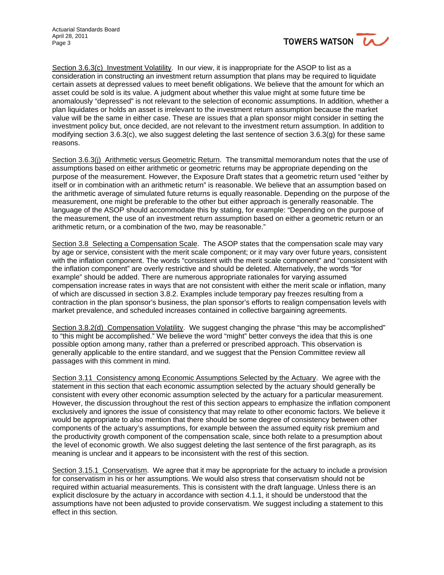

Section 3.6.3(c) Investment Volatility. In our view, it is inappropriate for the ASOP to list as a consideration in constructing an investment return assumption that plans may be required to liquidate certain assets at depressed values to meet benefit obligations. We believe that the amount for which an asset could be sold is its value. A judgment about whether this value might at some future time be anomalously "depressed" is not relevant to the selection of economic assumptions. In addition, whether a plan liquidates or holds an asset is irrelevant to the investment return assumption because the market value will be the same in either case. These are issues that a plan sponsor might consider in setting the investment policy but, once decided, are not relevant to the investment return assumption. In addition to modifying section 3.6.3(c), we also suggest deleting the last sentence of section 3.6.3(g) for these same reasons.

Section 3.6.3(j) Arithmetic versus Geometric Return. The transmittal memorandum notes that the use of assumptions based on either arithmetic or geometric returns may be appropriate depending on the purpose of the measurement. However, the Exposure Draft states that a geometric return used "either by itself or in combination with an arithmetic return" is reasonable. We believe that an assumption based on the arithmetic average of simulated future returns is equally reasonable. Depending on the purpose of the measurement, one might be preferable to the other but either approach is generally reasonable. The language of the ASOP should accommodate this by stating, for example: "Depending on the purpose of the measurement, the use of an investment return assumption based on either a geometric return or an arithmetic return, or a combination of the two, may be reasonable."

Section 3.8 Selecting a Compensation Scale. The ASOP states that the compensation scale may vary by age or service, consistent with the merit scale component; or it may vary over future years, consistent with the inflation component. The words "consistent with the merit scale component" and "consistent with the inflation component" are overly restrictive and should be deleted. Alternatively, the words "for example" should be added. There are numerous appropriate rationales for varying assumed compensation increase rates in ways that are not consistent with either the merit scale or inflation, many of which are discussed in section 3.8.2. Examples include temporary pay freezes resulting from a contraction in the plan sponsor's business, the plan sponsor's efforts to realign compensation levels with market prevalence, and scheduled increases contained in collective bargaining agreements.

Section 3.8.2(d) Compensation Volatility. We suggest changing the phrase "this may be accomplished" to "this might be accomplished." We believe the word "might" better conveys the idea that this is one possible option among many, rather than a preferred or prescribed approach. This observation is generally applicable to the entire standard, and we suggest that the Pension Committee review all passages with this comment in mind.

Section 3.11 Consistency among Economic Assumptions Selected by the Actuary. We agree with the statement in this section that each economic assumption selected by the actuary should generally be consistent with every other economic assumption selected by the actuary for a particular measurement. However, the discussion throughout the rest of this section appears to emphasize the inflation component exclusively and ignores the issue of consistency that may relate to other economic factors. We believe it would be appropriate to also mention that there should be some degree of consistency between other components of the actuary's assumptions, for example between the assumed equity risk premium and the productivity growth component of the compensation scale, since both relate to a presumption about the level of economic growth. We also suggest deleting the last sentence of the first paragraph, as its meaning is unclear and it appears to be inconsistent with the rest of this section.

Section 3.15.1 Conservatism. We agree that it may be appropriate for the actuary to include a provision for conservatism in his or her assumptions. We would also stress that conservatism should not be required within actuarial measurements. This is consistent with the draft language. Unless there is an explicit disclosure by the actuary in accordance with section 4.1.1, it should be understood that the assumptions have not been adjusted to provide conservatism. We suggest including a statement to this effect in this section.